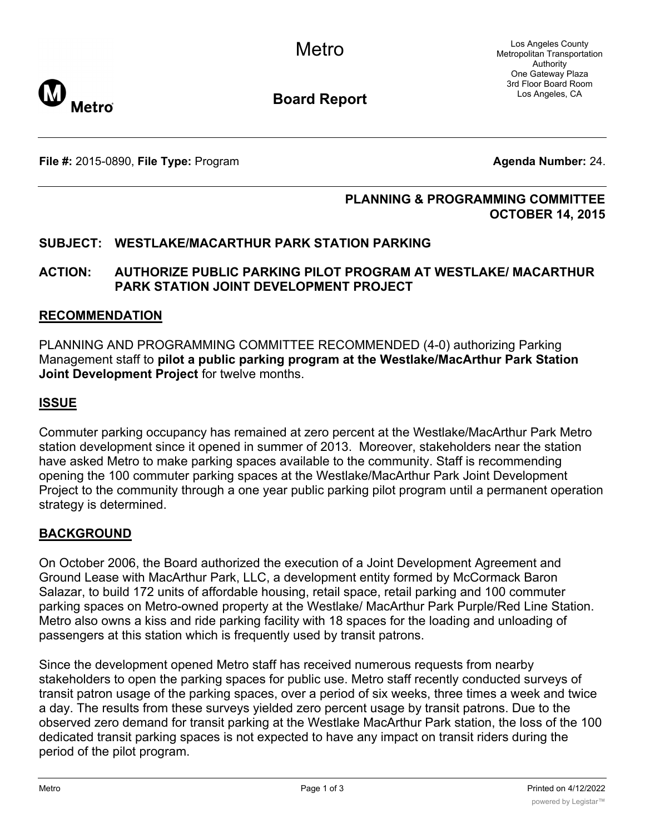Los Angeles County Metropolitan Transportation Authority One Gateway Plaza 3rd Floor Board Room Los Angeles, CA



**Board Report**

**File #:** 2015-0890, File Type: Program **Agents Agenda Number:** 24.

### **PLANNING & PROGRAMMING COMMITTEE OCTOBER 14, 2015**

# **SUBJECT: WESTLAKE/MACARTHUR PARK STATION PARKING**

## **ACTION: AUTHORIZE PUBLIC PARKING PILOT PROGRAM AT WESTLAKE/ MACARTHUR PARK STATION JOINT DEVELOPMENT PROJECT**

#### **RECOMMENDATION**

PLANNING AND PROGRAMMING COMMITTEE RECOMMENDED (4-0) authorizing Parking Management staff to **pilot a public parking program at the Westlake/MacArthur Park Station Joint Development Project** for twelve months.

### **ISSUE**

Commuter parking occupancy has remained at zero percent at the Westlake/MacArthur Park Metro station development since it opened in summer of 2013. Moreover, stakeholders near the station have asked Metro to make parking spaces available to the community. Staff is recommending opening the 100 commuter parking spaces at the Westlake/MacArthur Park Joint Development Project to the community through a one year public parking pilot program until a permanent operation strategy is determined.

### **BACKGROUND**

On October 2006, the Board authorized the execution of a Joint Development Agreement and Ground Lease with MacArthur Park, LLC, a development entity formed by McCormack Baron Salazar, to build 172 units of affordable housing, retail space, retail parking and 100 commuter parking spaces on Metro-owned property at the Westlake/ MacArthur Park Purple/Red Line Station. Metro also owns a kiss and ride parking facility with 18 spaces for the loading and unloading of passengers at this station which is frequently used by transit patrons.

Since the development opened Metro staff has received numerous requests from nearby stakeholders to open the parking spaces for public use. Metro staff recently conducted surveys of transit patron usage of the parking spaces, over a period of six weeks, three times a week and twice a day. The results from these surveys yielded zero percent usage by transit patrons. Due to the observed zero demand for transit parking at the Westlake MacArthur Park station, the loss of the 100 dedicated transit parking spaces is not expected to have any impact on transit riders during the period of the pilot program.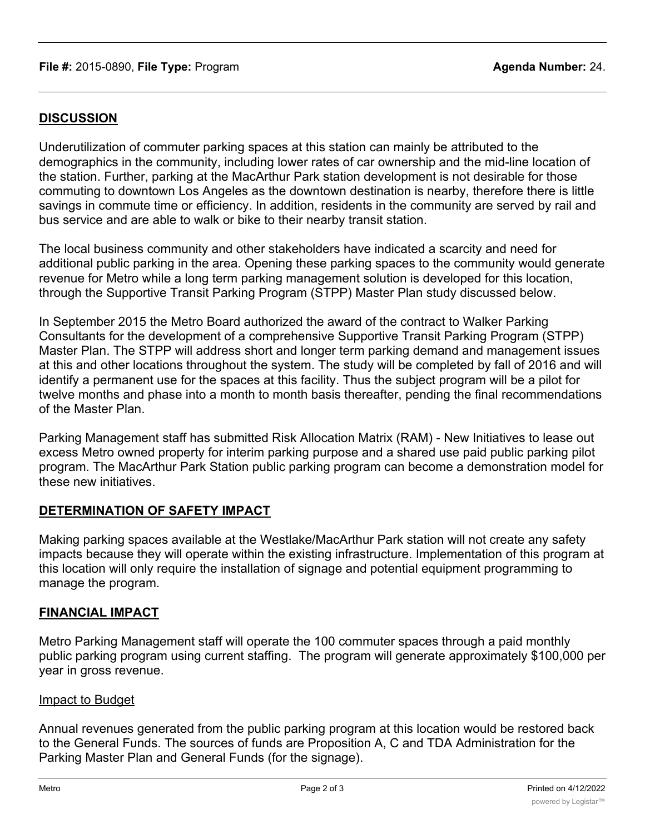## **DISCUSSION**

Underutilization of commuter parking spaces at this station can mainly be attributed to the demographics in the community, including lower rates of car ownership and the mid-line location of the station. Further, parking at the MacArthur Park station development is not desirable for those commuting to downtown Los Angeles as the downtown destination is nearby, therefore there is little savings in commute time or efficiency. In addition, residents in the community are served by rail and bus service and are able to walk or bike to their nearby transit station.

The local business community and other stakeholders have indicated a scarcity and need for additional public parking in the area. Opening these parking spaces to the community would generate revenue for Metro while a long term parking management solution is developed for this location, through the Supportive Transit Parking Program (STPP) Master Plan study discussed below.

In September 2015 the Metro Board authorized the award of the contract to Walker Parking Consultants for the development of a comprehensive Supportive Transit Parking Program (STPP) Master Plan. The STPP will address short and longer term parking demand and management issues at this and other locations throughout the system. The study will be completed by fall of 2016 and will identify a permanent use for the spaces at this facility. Thus the subject program will be a pilot for twelve months and phase into a month to month basis thereafter, pending the final recommendations of the Master Plan.

Parking Management staff has submitted Risk Allocation Matrix (RAM) - New Initiatives to lease out excess Metro owned property for interim parking purpose and a shared use paid public parking pilot program. The MacArthur Park Station public parking program can become a demonstration model for these new initiatives.

### **DETERMINATION OF SAFETY IMPACT**

Making parking spaces available at the Westlake/MacArthur Park station will not create any safety impacts because they will operate within the existing infrastructure. Implementation of this program at this location will only require the installation of signage and potential equipment programming to manage the program.

### **FINANCIAL IMPACT**

Metro Parking Management staff will operate the 100 commuter spaces through a paid monthly public parking program using current staffing. The program will generate approximately \$100,000 per year in gross revenue.

### Impact to Budget

Annual revenues generated from the public parking program at this location would be restored back to the General Funds. The sources of funds are Proposition A, C and TDA Administration for the Parking Master Plan and General Funds (for the signage).